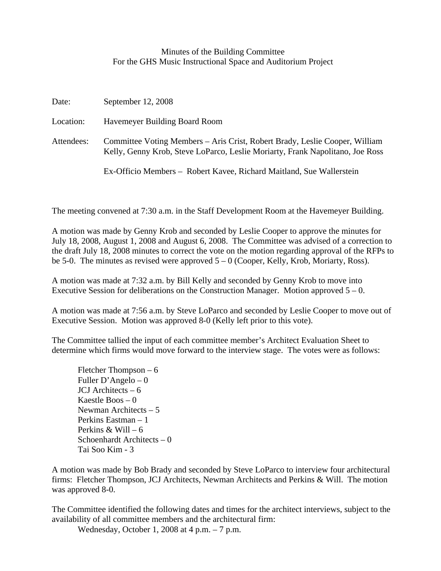## Minutes of the Building Committee For the GHS Music Instructional Space and Auditorium Project

| Date:      | September 12, 2008                                                                                                                                           |
|------------|--------------------------------------------------------------------------------------------------------------------------------------------------------------|
| Location:  | Havemeyer Building Board Room                                                                                                                                |
| Attendees: | Committee Voting Members – Aris Crist, Robert Brady, Leslie Cooper, William<br>Kelly, Genny Krob, Steve LoParco, Leslie Moriarty, Frank Napolitano, Joe Ross |
|            | Ex-Officio Members – Robert Kavee, Richard Maitland, Sue Wallerstein                                                                                         |

The meeting convened at 7:30 a.m. in the Staff Development Room at the Havemeyer Building.

A motion was made by Genny Krob and seconded by Leslie Cooper to approve the minutes for July 18, 2008, August 1, 2008 and August 6, 2008. The Committee was advised of a correction to the draft July 18, 2008 minutes to correct the vote on the motion regarding approval of the RFPs to be 5-0. The minutes as revised were approved  $5 - 0$  (Cooper, Kelly, Krob, Moriarty, Ross).

A motion was made at 7:32 a.m. by Bill Kelly and seconded by Genny Krob to move into Executive Session for deliberations on the Construction Manager. Motion approved  $5 - 0$ .

A motion was made at 7:56 a.m. by Steve LoParco and seconded by Leslie Cooper to move out of Executive Session. Motion was approved 8-0 (Kelly left prior to this vote).

The Committee tallied the input of each committee member's Architect Evaluation Sheet to determine which firms would move forward to the interview stage. The votes were as follows:

 Fletcher Thompson – 6 Fuller D'Angelo – 0 JCJ Architects – 6 Kaestle Boos – 0 Newman Architects – 5 Perkins Eastman – 1 Perkins  $&$  Will – 6 Schoenhardt Architects – 0 Tai Soo Kim - 3

A motion was made by Bob Brady and seconded by Steve LoParco to interview four architectural firms: Fletcher Thompson, JCJ Architects, Newman Architects and Perkins & Will. The motion was approved 8-0.

The Committee identified the following dates and times for the architect interviews, subject to the availability of all committee members and the architectural firm:

Wednesday, October 1, 2008 at 4 p.m. – 7 p.m.